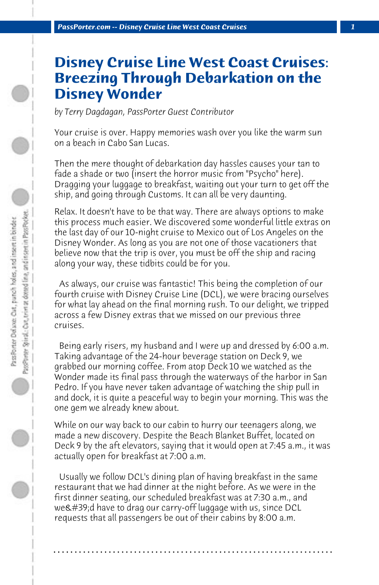## **Disney Cruise Line West Coast Cruises: Breezing Through Debarkation on the Disney Wonder**

*by Terry Dagdagan, PassPorter Guest Contributor*

Your cruise is over. Happy memories wash over you like the warm sun on a beach in Cabo San Lucas.

Then the mere thought of debarkation day hassles causes your tan to fade a shade or two (insert the horror music from "Psycho" here). Dragging your luggage to breakfast, waiting out your turn to get off the ship, and going through Customs. It can all be very daunting.

Relax. It doesn't have to be that way. There are always options to make this process much easier. We discovered some wonderful little extras on the last day of our 10-night cruise to Mexico out of Los Angeles on the Disney Wonder. As long as you are not one of those vacationers that believe now that the trip is over, you must be off the ship and racing along your way, these tidbits could be for you.

 As always, our cruise was fantastic! This being the completion of our fourth cruise with Disney Cruise Line (DCL), we were bracing ourselves for what lay ahead on the final morning rush. To our delight, we tripped across a few Disney extras that we missed on our previous three cruises.

 Being early risers, my husband and I were up and dressed by 6:00 a.m. Taking advantage of the 24-hour beverage station on Deck 9, we grabbed our morning coffee. From atop Deck 10 we watched as the Wonder made its final pass through the waterways of the harbor in San Pedro. If you have never taken advantage of watching the ship pull in and dock, it is quite a peaceful way to begin your morning. This was the one gem we already knew about.

While on our way back to our cabin to hurry our teenagers along, we made a new discovery. Despite the Beach Blanket Buffet, located on Deck 9 by the aft elevators, saying that it would open at 7:45 a.m., it was actually open for breakfast at 7:00 a.m.

 Usually we follow DCL's dining plan of having breakfast in the same restaurant that we had dinner at the night before. As we were in the first dinner seating, our scheduled breakfast was at 7:30 a.m., and we'd have to drag our carry-off luggage with us, since DCL requests that all passengers be out of their cabins by 8:00 a.m.

**. . . . . . . . . . . . . . . . . . . . . . . . . . . . . . . . . . . . . . . . . . . . . . . . . . . . . . . . . . . . . . . . . .**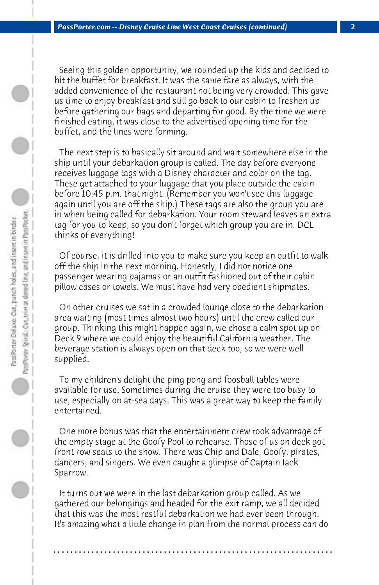Seeing this golden opportunity, we rounded up the kids and decided to hit the buffet for breakfast. It was the same fare as always, with the added convenience of the restaurant not being very crowded. This gave us time to enjoy breakfast and still go back to our cabin to freshen up before gathering our bags and departing for good. By the time we were finished eating, it was close to the advertised opening time for the buffet, and the lines were forming.

 The next step is to basically sit around and wait somewhere else in the ship until your debarkation group is called. The day before everyone receives luggage tags with a Disney character and color on the tag. These get attached to your luggage that you place outside the cabin before 10:45 p.m. that night. (Remember you won't see this luggage again until you are off the ship.) These tags are also the group you are in when being called for debarkation. Your room steward leaves an extra tag for you to keep, so you don't forget which group you are in. DCL thinks of everything!

 Of course, it is drilled into you to make sure you keep an outfit to walk off the ship in the next morning. Honestly, I did not notice one passenger wearing pajamas or an outfit fashioned out of their cabin pillow cases or towels. We must have had very obedient shipmates.

 On other cruises we sat in a crowded lounge close to the debarkation area waiting (most times almost two hours) until the crew called our group. Thinking this might happen again, we chose a calm spot up on Deck 9 where we could enjoy the beautiful California weather. The beverage station is always open on that deck too, so we were well supplied.

 To my children's delight the ping pong and foosball tables were available for use. Sometimes during the cruise they were too busy to use, especially on at-sea days. This was a great way to keep the family entertained.

 One more bonus was that the entertainment crew took advantage of the empty stage at the Goofy Pool to rehearse. Those of us on deck got front row seats to the show. There was Chip and Dale, Goofy, pirates, dancers, and singers. We even caught a glimpse of Captain Jack Sparrow.

 It turns out we were in the last debarkation group called. As we gathered our belongings and headed for the exit ramp, we all decided that this was the most restful debarkation we had ever been through. It's amazing what a little change in plan from the normal process can do

**. . . . . . . . . . . . . . . . . . . . . . . . . . . . . . . . . . . . . . . . . . . . . . . . . . . . . . . . . . . . . . . . . .**